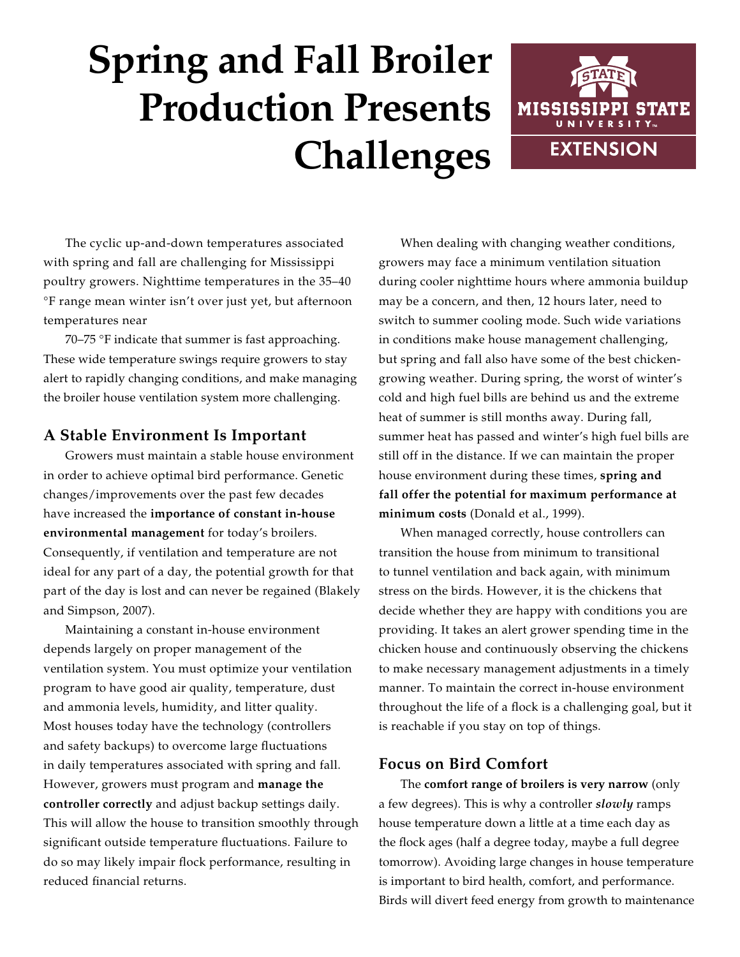# **Spring and Fall Broiler Production Presents Challenges**



The cyclic up-and-down temperatures associated with spring and fall are challenging for Mississippi poultry growers. Nighttime temperatures in the 35–40 °F range mean winter isn't over just yet, but afternoon temperatures near

70–75 °F indicate that summer is fast approaching. These wide temperature swings require growers to stay alert to rapidly changing conditions, and make managing the broiler house ventilation system more challenging.

# **A Stable Environment Is Important**

Growers must maintain a stable house environment in order to achieve optimal bird performance. Genetic changes/improvements over the past few decades have increased the **importance of constant in-house environmental management** for today's broilers. Consequently, if ventilation and temperature are not ideal for any part of a day, the potential growth for that part of the day is lost and can never be regained (Blakely and Simpson, 2007).

Maintaining a constant in-house environment depends largely on proper management of the ventilation system. You must optimize your ventilation program to have good air quality, temperature, dust and ammonia levels, humidity, and litter quality. Most houses today have the technology (controllers and safety backups) to overcome large fluctuations in daily temperatures associated with spring and fall. However, growers must program and **manage the controller correctly** and adjust backup settings daily. This will allow the house to transition smoothly through significant outside temperature fluctuations. Failure to do so may likely impair flock performance, resulting in reduced financial returns.

When dealing with changing weather conditions, growers may face a minimum ventilation situation during cooler nighttime hours where ammonia buildup may be a concern, and then, 12 hours later, need to switch to summer cooling mode. Such wide variations in conditions make house management challenging, but spring and fall also have some of the best chickengrowing weather. During spring, the worst of winter's cold and high fuel bills are behind us and the extreme heat of summer is still months away. During fall, summer heat has passed and winter's high fuel bills are still off in the distance. If we can maintain the proper house environment during these times, **spring and fall offer the potential for maximum performance at minimum costs** (Donald et al., 1999).

When managed correctly, house controllers can transition the house from minimum to transitional to tunnel ventilation and back again, with minimum stress on the birds. However, it is the chickens that decide whether they are happy with conditions you are providing. It takes an alert grower spending time in the chicken house and continuously observing the chickens to make necessary management adjustments in a timely manner. To maintain the correct in-house environment throughout the life of a flock is a challenging goal, but it is reachable if you stay on top of things.

## **Focus on Bird Comfort**

The **comfort range of broilers is very narrow** (only a few degrees). This is why a controller *slowly* ramps house temperature down a little at a time each day as the flock ages (half a degree today, maybe a full degree tomorrow). Avoiding large changes in house temperature is important to bird health, comfort, and performance. Birds will divert feed energy from growth to maintenance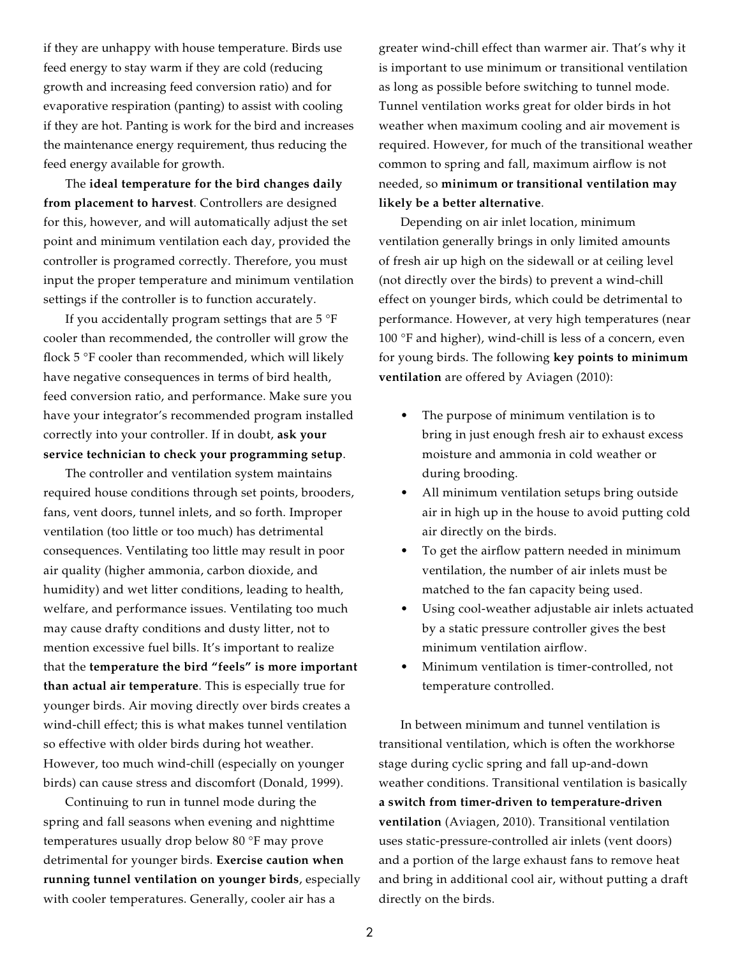if they are unhappy with house temperature. Birds use feed energy to stay warm if they are cold (reducing growth and increasing feed conversion ratio) and for evaporative respiration (panting) to assist with cooling if they are hot. Panting is work for the bird and increases the maintenance energy requirement, thus reducing the feed energy available for growth.

The **ideal temperature for the bird changes daily from placement to harvest**. Controllers are designed for this, however, and will automatically adjust the set point and minimum ventilation each day, provided the controller is programed correctly. Therefore, you must input the proper temperature and minimum ventilation settings if the controller is to function accurately.

If you accidentally program settings that are 5 °F cooler than recommended, the controller will grow the flock 5 °F cooler than recommended, which will likely have negative consequences in terms of bird health, feed conversion ratio, and performance. Make sure you have your integrator's recommended program installed correctly into your controller. If in doubt, **ask your service technician to check your programming setup**.

The controller and ventilation system maintains required house conditions through set points, brooders, fans, vent doors, tunnel inlets, and so forth. Improper ventilation (too little or too much) has detrimental consequences. Ventilating too little may result in poor air quality (higher ammonia, carbon dioxide, and humidity) and wet litter conditions, leading to health, welfare, and performance issues. Ventilating too much may cause drafty conditions and dusty litter, not to mention excessive fuel bills. It's important to realize that the **temperature the bird "feels" is more important than actual air temperature**. This is especially true for younger birds. Air moving directly over birds creates a wind-chill effect; this is what makes tunnel ventilation so effective with older birds during hot weather. However, too much wind-chill (especially on younger birds) can cause stress and discomfort (Donald, 1999).

Continuing to run in tunnel mode during the spring and fall seasons when evening and nighttime temperatures usually drop below 80 °F may prove detrimental for younger birds. **Exercise caution when running tunnel ventilation on younger birds**, especially with cooler temperatures. Generally, cooler air has a

greater wind-chill effect than warmer air. That's why it is important to use minimum or transitional ventilation as long as possible before switching to tunnel mode. Tunnel ventilation works great for older birds in hot weather when maximum cooling and air movement is required. However, for much of the transitional weather common to spring and fall, maximum airflow is not needed, so **minimum or transitional ventilation may likely be a better alternative**.

Depending on air inlet location, minimum ventilation generally brings in only limited amounts of fresh air up high on the sidewall or at ceiling level (not directly over the birds) to prevent a wind-chill effect on younger birds, which could be detrimental to performance. However, at very high temperatures (near 100 °F and higher), wind-chill is less of a concern, even for young birds. The following **key points to minimum ventilation** are offered by Aviagen (2010):

- The purpose of minimum ventilation is to bring in just enough fresh air to exhaust excess moisture and ammonia in cold weather or during brooding.
- All minimum ventilation setups bring outside air in high up in the house to avoid putting cold air directly on the birds.
- To get the airflow pattern needed in minimum ventilation, the number of air inlets must be matched to the fan capacity being used.
- Using cool-weather adjustable air inlets actuated by a static pressure controller gives the best minimum ventilation airflow.
- Minimum ventilation is timer-controlled, not temperature controlled.

In between minimum and tunnel ventilation is transitional ventilation, which is often the workhorse stage during cyclic spring and fall up-and-down weather conditions. Transitional ventilation is basically **a switch from timer-driven to temperature-driven ventilation** (Aviagen, 2010). Transitional ventilation uses static-pressure-controlled air inlets (vent doors) and a portion of the large exhaust fans to remove heat and bring in additional cool air, without putting a draft directly on the birds.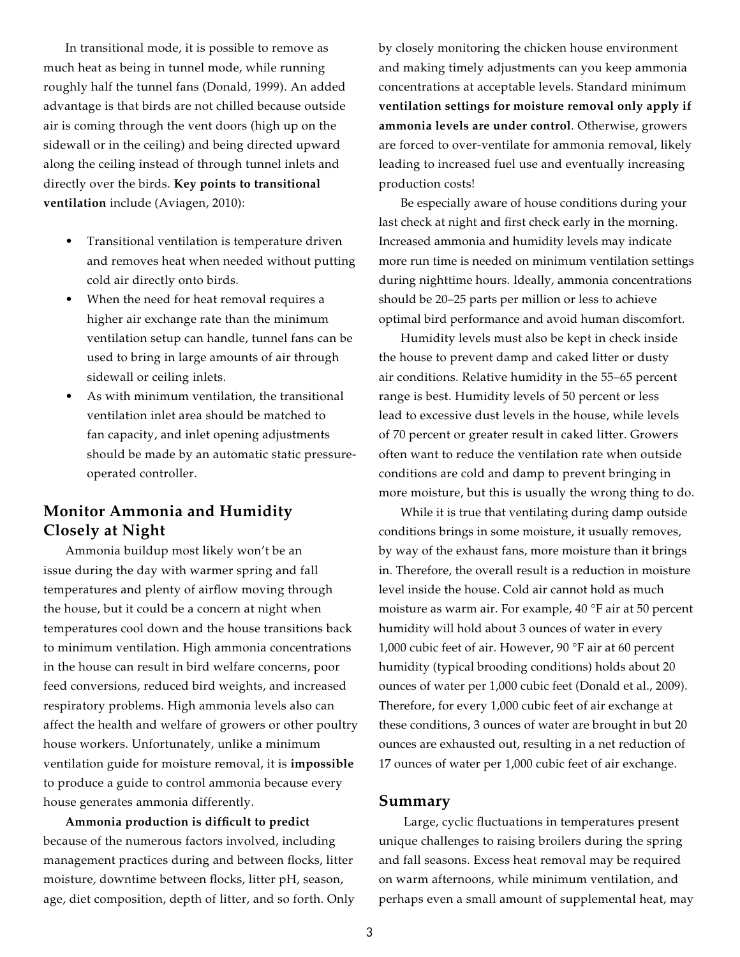In transitional mode, it is possible to remove as much heat as being in tunnel mode, while running roughly half the tunnel fans (Donald, 1999). An added advantage is that birds are not chilled because outside air is coming through the vent doors (high up on the sidewall or in the ceiling) and being directed upward along the ceiling instead of through tunnel inlets and directly over the birds. **Key points to transitional ventilation** include (Aviagen, 2010):

- Transitional ventilation is temperature driven and removes heat when needed without putting cold air directly onto birds.
- When the need for heat removal requires a higher air exchange rate than the minimum ventilation setup can handle, tunnel fans can be used to bring in large amounts of air through sidewall or ceiling inlets.
- As with minimum ventilation, the transitional ventilation inlet area should be matched to fan capacity, and inlet opening adjustments should be made by an automatic static pressureoperated controller.

## **Monitor Ammonia and Humidity Closely at Night**

Ammonia buildup most likely won't be an issue during the day with warmer spring and fall temperatures and plenty of airflow moving through the house, but it could be a concern at night when temperatures cool down and the house transitions back to minimum ventilation. High ammonia concentrations in the house can result in bird welfare concerns, poor feed conversions, reduced bird weights, and increased respiratory problems. High ammonia levels also can affect the health and welfare of growers or other poultry house workers. Unfortunately, unlike a minimum ventilation guide for moisture removal, it is **impossible** to produce a guide to control ammonia because every house generates ammonia differently.

**Ammonia production is difficult to predict** because of the numerous factors involved, including management practices during and between flocks, litter moisture, downtime between flocks, litter pH, season, age, diet composition, depth of litter, and so forth. Only by closely monitoring the chicken house environment and making timely adjustments can you keep ammonia concentrations at acceptable levels. Standard minimum **ventilation settings for moisture removal only apply if ammonia levels are under control**. Otherwise, growers are forced to over-ventilate for ammonia removal, likely leading to increased fuel use and eventually increasing production costs!

Be especially aware of house conditions during your last check at night and first check early in the morning. Increased ammonia and humidity levels may indicate more run time is needed on minimum ventilation settings during nighttime hours. Ideally, ammonia concentrations should be 20–25 parts per million or less to achieve optimal bird performance and avoid human discomfort.

Humidity levels must also be kept in check inside the house to prevent damp and caked litter or dusty air conditions. Relative humidity in the 55–65 percent range is best. Humidity levels of 50 percent or less lead to excessive dust levels in the house, while levels of 70 percent or greater result in caked litter. Growers often want to reduce the ventilation rate when outside conditions are cold and damp to prevent bringing in more moisture, but this is usually the wrong thing to do.

While it is true that ventilating during damp outside conditions brings in some moisture, it usually removes, by way of the exhaust fans, more moisture than it brings in. Therefore, the overall result is a reduction in moisture level inside the house. Cold air cannot hold as much moisture as warm air. For example, 40 °F air at 50 percent humidity will hold about 3 ounces of water in every 1,000 cubic feet of air. However, 90 °F air at 60 percent humidity (typical brooding conditions) holds about 20 ounces of water per 1,000 cubic feet (Donald et al., 2009). Therefore, for every 1,000 cubic feet of air exchange at these conditions, 3 ounces of water are brought in but 20 ounces are exhausted out, resulting in a net reduction of 17 ounces of water per 1,000 cubic feet of air exchange.

#### **Summary**

 Large, cyclic fluctuations in temperatures present unique challenges to raising broilers during the spring and fall seasons. Excess heat removal may be required on warm afternoons, while minimum ventilation, and perhaps even a small amount of supplemental heat, may